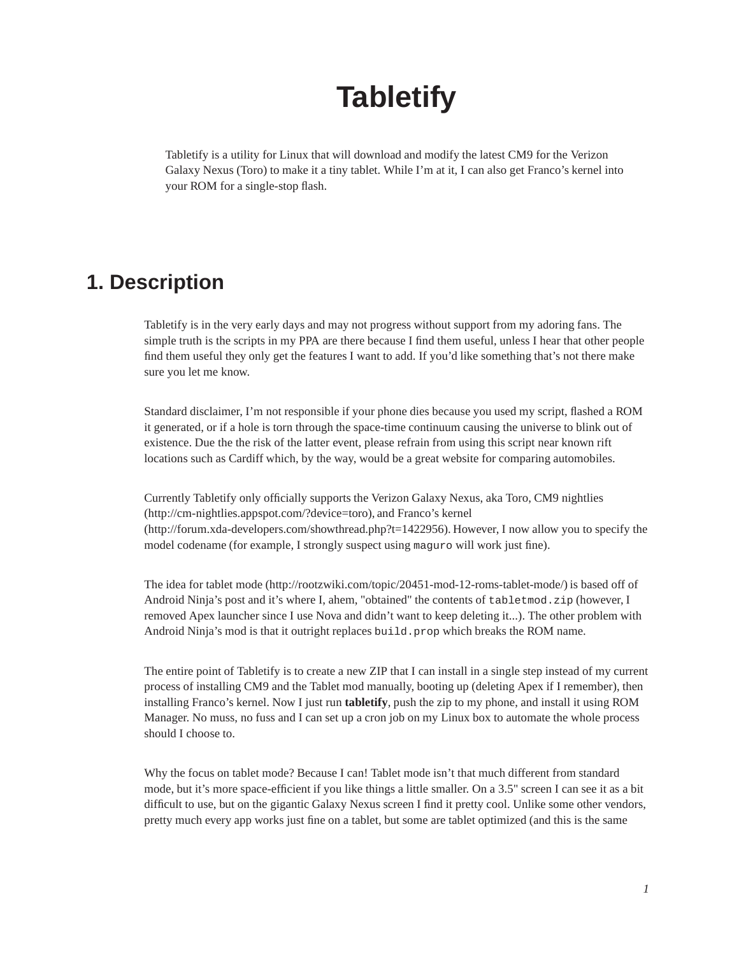# **Tabletify**

Tabletify is a utility for Linux that will download and modify the latest CM9 for the Verizon Galaxy Nexus (Toro) to make it a tiny tablet. While I'm at it, I can also get Franco's kernel into your ROM for a single-stop flash.

### **1. Description**

Tabletify is in the very early days and may not progress without support from my adoring fans. The simple truth is the scripts in my PPA are there because I find them useful, unless I hear that other people find them useful they only get the features I want to add. If you'd like something that's not there make sure you let me know.

Standard disclaimer, I'm not responsible if your phone dies because you used my script, flashed a ROM it generated, or if a hole is torn through the space-time continuum causing the universe to blink out of existence. Due the the risk of the latter event, please refrain from using this script near known rift locations such as Cardiff which, by the way, would be a great website for comparing automobiles.

Currently Tabletify only officially supports the Verizon Galaxy Nexus, aka Toro, CM9 nightlies (http://cm-nightlies.appspot.com/?device=toro), and Franco's kernel (http://forum.xda-developers.com/showthread.php?t=1422956). However, I now allow you to specify the model codename (for example, I strongly suspect using maguro will work just fine).

The idea for tablet mode (http://rootzwiki.com/topic/20451-mod-12-roms-tablet-mode/) is based off of Android Ninja's post and it's where I, ahem, "obtained" the contents of tabletmod.zip (however, I removed Apex launcher since I use Nova and didn't want to keep deleting it...). The other problem with Android Ninja's mod is that it outright replaces build.prop which breaks the ROM name.

The entire point of Tabletify is to create a new ZIP that I can install in a single step instead of my current process of installing CM9 and the Tablet mod manually, booting up (deleting Apex if I remember), then installing Franco's kernel. Now I just run **tabletify**, push the zip to my phone, and install it using ROM Manager. No muss, no fuss and I can set up a cron job on my Linux box to automate the whole process should I choose to.

Why the focus on tablet mode? Because I can! Tablet mode isn't that much different from standard mode, but it's more space-efficient if you like things a little smaller. On a 3.5" screen I can see it as a bit difficult to use, but on the gigantic Galaxy Nexus screen I find it pretty cool. Unlike some other vendors, pretty much every app works just fine on a tablet, but some are tablet optimized (and this is the same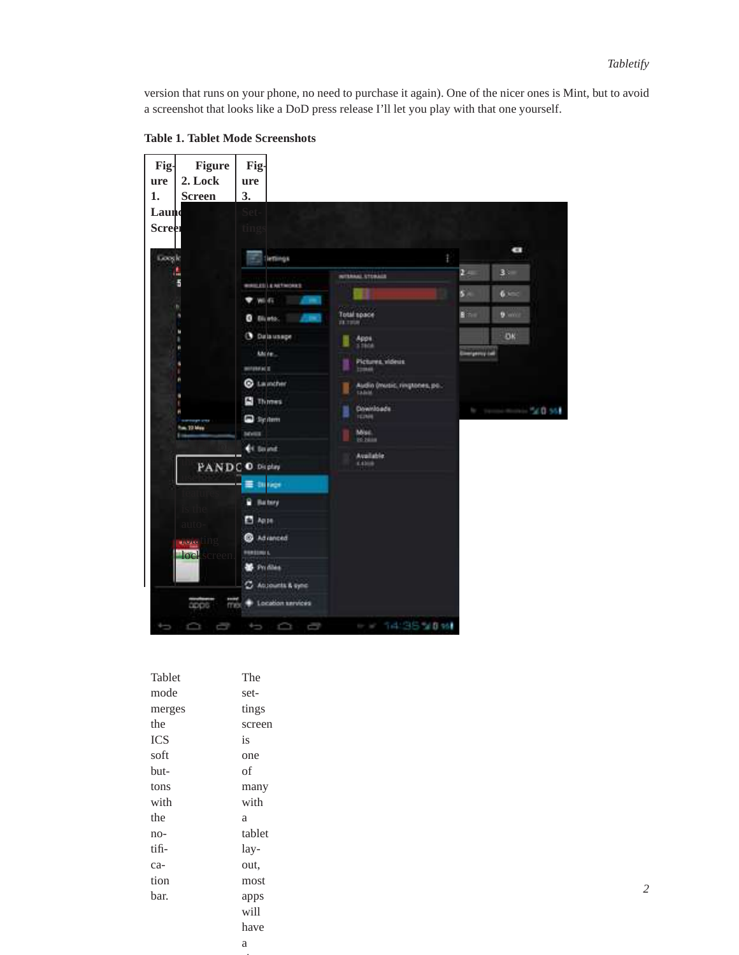version that runs on your phone, no need to purchase it again). One of the nicer ones is Mint, but to avoid a screenshot that looks like a DoD press release I'll let you play with that one yourself.



**Table 1. Tablet Mode Screenshots**

| Tablet     | The    |
|------------|--------|
| mode       | set-   |
| merges     | tings  |
| the        | screen |
| <b>ICS</b> | is     |
| soft       | one    |
| but-       | of     |
| tons       | many   |
| with       | with   |
| the        | a      |
| no-        | tablet |
| tifi-      | lay-   |
| ca-        | out,   |
| tion       | most   |
| bar.       | apps   |
|            | will   |
|            | have   |
|            | a      |

sim-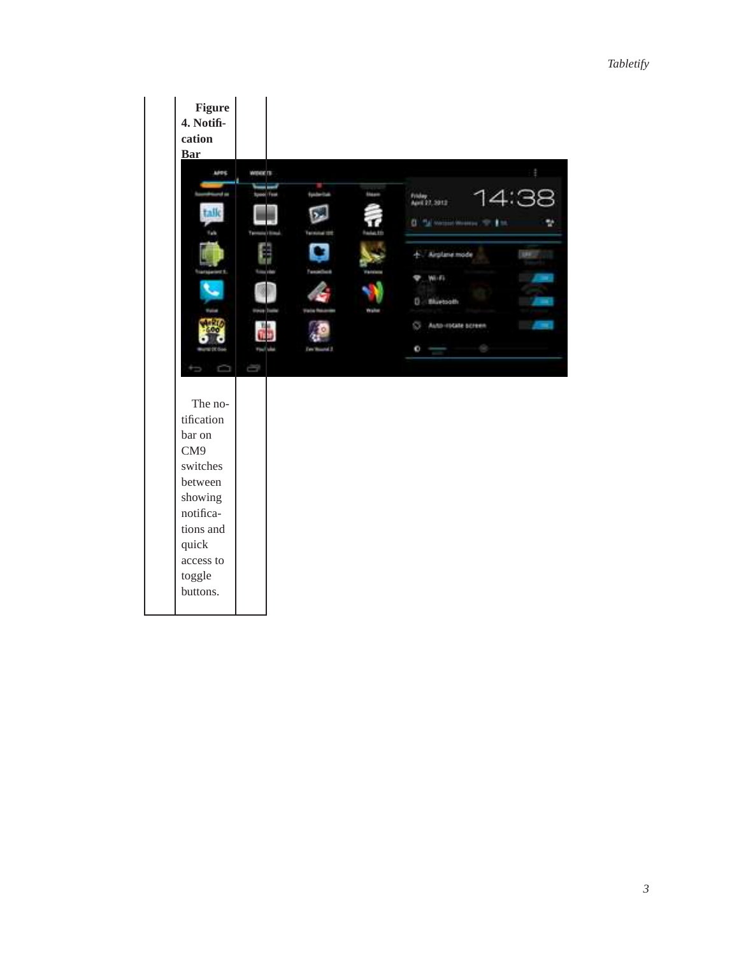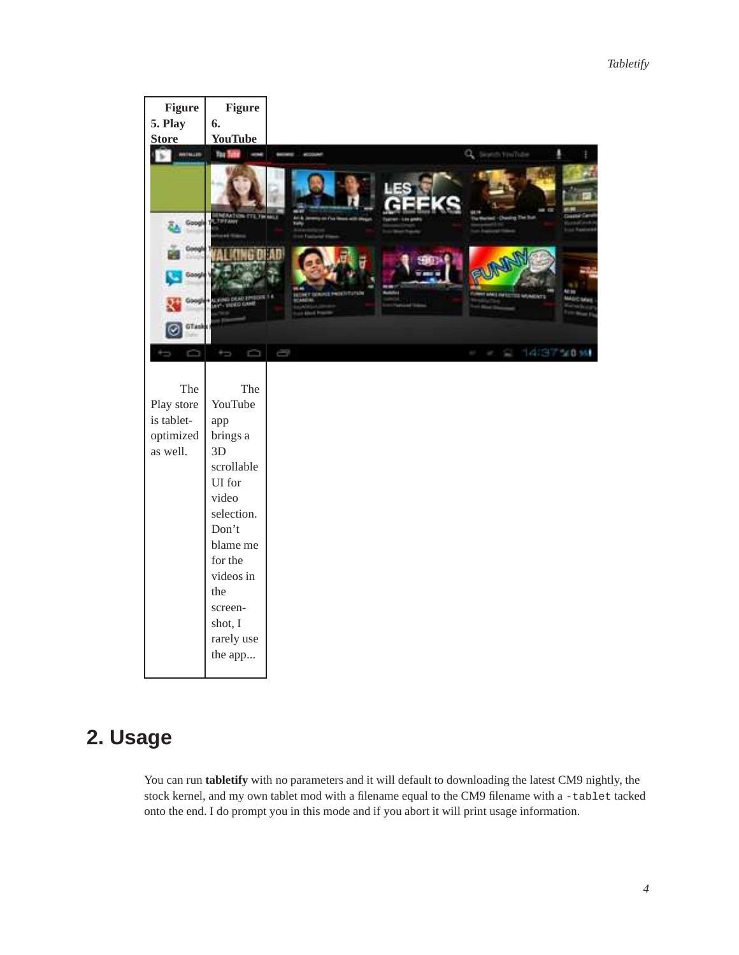

### **2. Usage**

You can run **tabletify** with no parameters and it will default to downloading the latest CM9 nightly, the stock kernel, and my own tablet mod with a filename equal to the CM9 filename with a -tablet tacked onto the end. I do prompt you in this mode and if you abort it will print usage information.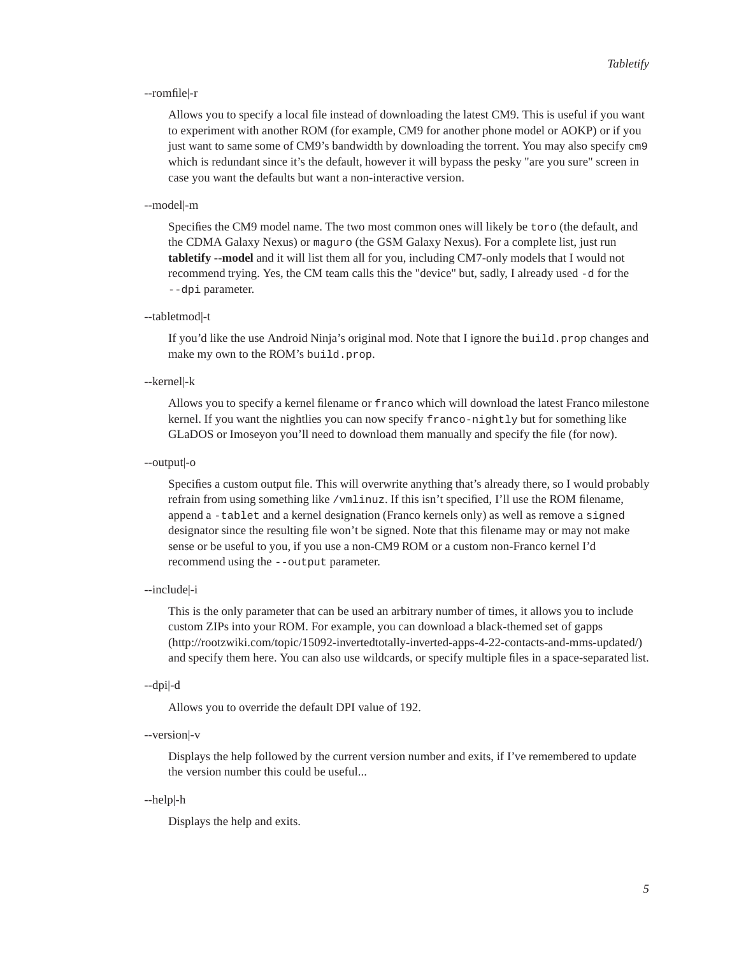#### --romfile|-r

Allows you to specify a local file instead of downloading the latest CM9. This is useful if you want to experiment with another ROM (for example, CM9 for another phone model or AOKP) or if you just want to same some of CM9's bandwidth by downloading the torrent. You may also specify cm9 which is redundant since it's the default, however it will bypass the pesky "are you sure" screen in case you want the defaults but want a non-interactive version.

#### --model|-m

Specifies the CM9 model name. The two most common ones will likely be toro (the default, and the CDMA Galaxy Nexus) or maguro (the GSM Galaxy Nexus). For a complete list, just run **tabletify --model** and it will list them all for you, including CM7-only models that I would not recommend trying. Yes, the CM team calls this the "device" but, sadly, I already used -d for the --dpi parameter.

#### --tabletmod|-t

If you'd like the use Android Ninja's original mod. Note that I ignore the build. prop changes and make my own to the ROM's build.prop.

#### --kernel|-k

Allows you to specify a kernel filename or franco which will download the latest Franco milestone kernel. If you want the nightlies you can now specify franco-nightly but for something like GLaDOS or Imoseyon you'll need to download them manually and specify the file (for now).

#### --output|-o

Specifies a custom output file. This will overwrite anything that's already there, so I would probably refrain from using something like /vmlinuz. If this isn't specified, I'll use the ROM filename, append a -tablet and a kernel designation (Franco kernels only) as well as remove a signed designator since the resulting file won't be signed. Note that this filename may or may not make sense or be useful to you, if you use a non-CM9 ROM or a custom non-Franco kernel I'd recommend using the --output parameter.

#### --include|-i

This is the only parameter that can be used an arbitrary number of times, it allows you to include custom ZIPs into your ROM. For example, you can download a black-themed set of gapps (http://rootzwiki.com/topic/15092-invertedtotally-inverted-apps-4-22-contacts-and-mms-updated/) and specify them here. You can also use wildcards, or specify multiple files in a space-separated list.

#### --dpi|-d

Allows you to override the default DPI value of 192.

#### --version|-v

Displays the help followed by the current version number and exits, if I've remembered to update the version number this could be useful...

#### --help|-h

Displays the help and exits.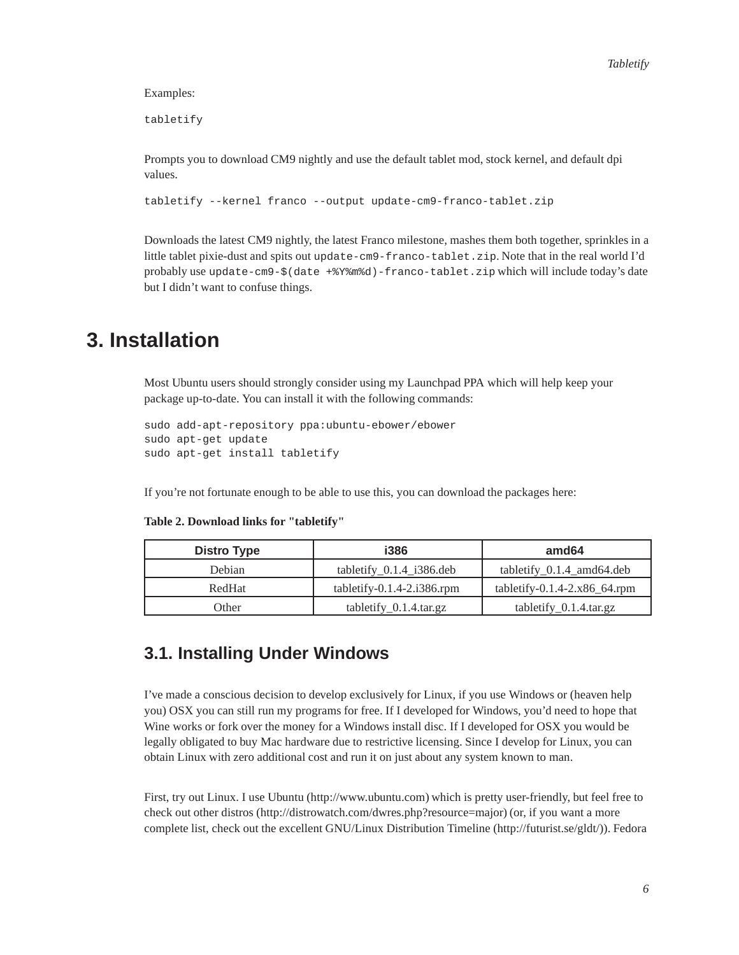#### Examples:

tabletify

Prompts you to download CM9 nightly and use the default tablet mod, stock kernel, and default dpi values.

```
tabletify --kernel franco --output update-cm9-franco-tablet.zip
```
Downloads the latest CM9 nightly, the latest Franco milestone, mashes them both together, sprinkles in a little tablet pixie-dust and spits out update-cm9-franco-tablet.zip. Note that in the real world I'd probably use update-cm9-\$(date +%Y%m%d)-franco-tablet.zip which will include today's date but I didn't want to confuse things.

### **3. Installation**

Most Ubuntu users should strongly consider using my Launchpad PPA which will help keep your package up-to-date. You can install it with the following commands:

```
sudo add-apt-repository ppa:ubuntu-ebower/ebower
sudo apt-get update
sudo apt-get install tabletify
```
If you're not fortunate enough to be able to use this, you can download the packages here:

| Distro Type | i386                               | amd64                           |
|-------------|------------------------------------|---------------------------------|
| Debian      | tabletify $0.1.4$ i386.deb         | tabletify $_0.1.4$ amd64.deb    |
| RedHat      | tabletify- $0.1.4$ - $2.1386$ .rpm | tabletify-0.1.4-2. $x86$ 64.rpm |
| Other       | $tabletify_0.1.4.4.4.4$            | tabletify $_0$ .1.4.tar.gz      |

**Table 2. Download links for "tabletify"**

### **3.1. Installing Under Windows**

I've made a conscious decision to develop exclusively for Linux, if you use Windows or (heaven help you) OSX you can still run my programs for free. If I developed for Windows, you'd need to hope that Wine works or fork over the money for a Windows install disc. If I developed for OSX you would be legally obligated to buy Mac hardware due to restrictive licensing. Since I develop for Linux, you can obtain Linux with zero additional cost and run it on just about any system known to man.

First, try out Linux. I use Ubuntu (http://www.ubuntu.com) which is pretty user-friendly, but feel free to check out other distros (http://distrowatch.com/dwres.php?resource=major) (or, if you want a more complete list, check out the excellent GNU/Linux Distribution Timeline (http://futurist.se/gldt/)). Fedora